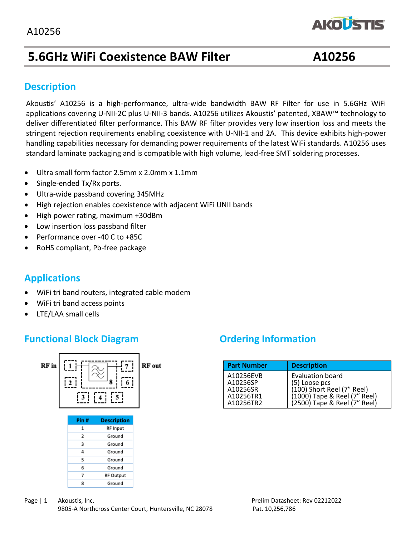

# **5.6GHz WiFi Coexistence BAW Filter A10256**

#### **Description**

 standard laminate packaging and is compatible with high volume, lead-free SMT soldering processes.Akoustis' A10256 is a high-performance, ultra-wide bandwidth BAW RF Filter for use in 5.6GHz WiFi applications covering U-NII-2C plus U-NII-3 bands. A10256 utilizes Akoustis' patented, XBAW™ technology to deliver differentiated filter performance. This BAW RF filter provides very low insertion loss and meets the stringent rejection requirements enabling coexistence with U-NII-1 and 2A. This device exhibits high-power handling capabilities necessary for demanding power requirements of the latest WiFi standards. A10256 uses

- Ultra small form factor 2.5mm x 2.0mm x 1.1mm
- Single-ended Tx/Rx ports.
- Ultra-wide passband covering 345MHz
- High rejection enables coexistence with adjacent WiFi UNII bands
- High power rating, maximum +30dBm
- Low insertion loss passband filter
- Performance over -40 C to +85C
- RoHS compliant, Pb-free package

## **Applications**

- WiFi tri band routers, integrated cable modem
- WiFi tri band access points
- LTE/LAA small cells

#### **Functional Block Diagram** *Ordering Information*



| <b>Part Number</b>                                          | <b>Description</b>                                                                                                              |
|-------------------------------------------------------------|---------------------------------------------------------------------------------------------------------------------------------|
| A10256EVB<br>A10256SP<br>A10256SR<br>A10256TR1<br>A10256TR2 | Evaluation board<br>(5) Loose pcs<br>(100) Short Reel (7" Reel)<br>(1000) Tape & Reel (7" Reel)<br>(2500) Tape & Reel (7" Reel) |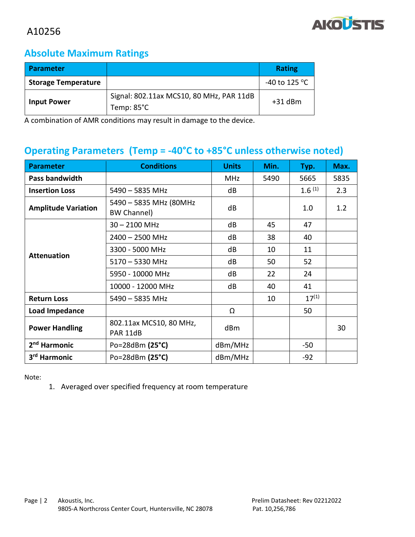

#### **Absolute Maximum Ratings**

| <b>Parameter</b>           |                                                        | <b>Rating</b>                   |
|----------------------------|--------------------------------------------------------|---------------------------------|
| <b>Storage Temperature</b> |                                                        | -40 to 125 $\mathrm{^{\circ}C}$ |
| <b>Input Power</b>         | Signal: 802.11ax MCS10, 80 MHz, PAR 11dB<br>Temp: 85°C | $+31$ dBm                       |

A combination of AMR conditions may result in damage to the device.

# **Operating Parameters (Temp = -40°C to +85°C unless otherwise noted)**

| <b>Parameter</b>           | <b>Conditions</b>                            | <b>Units</b> | Min. | Typ.               | Max. |
|----------------------------|----------------------------------------------|--------------|------|--------------------|------|
| Pass bandwidth             |                                              | <b>MHz</b>   | 5490 | 5665               | 5835 |
| <b>Insertion Loss</b>      | $5490 - 5835$ MHz                            | dB           |      | 1.6 <sup>(1)</sup> | 2.3  |
| <b>Amplitude Variation</b> | 5490 - 5835 MHz (80MHz<br><b>BW Channel)</b> | dB           |      | 1.0                | 1.2  |
|                            | $30 - 2100$ MHz                              | dB           | 45   | 47                 |      |
|                            | $2400 - 2500$ MHz                            | dB           | 38   | 40                 |      |
|                            | 3300 - 5000 MHz                              | dB           | 10   | 11                 |      |
| <b>Attenuation</b>         | $5170 - 5330$ MHz                            | dB           | 50   | 52                 |      |
|                            | 5950 - 10000 MHz                             | dB           | 22   | 24                 |      |
|                            | 10000 - 12000 MHz                            | dB           | 40   | 41                 |      |
| <b>Return Loss</b>         | $5490 - 5835$ MHz                            |              | 10   | $17^{(1)}$         |      |
| <b>Load Impedance</b>      |                                              | Ω            |      | 50                 |      |
| <b>Power Handling</b>      | 802.11ax MCS10, 80 MHz,<br>PAR 11dB          | dBm          |      |                    | 30   |
| 2 <sup>nd</sup> Harmonic   | Po=28dBm $(25^{\circ}C)$                     | dBm/MHz      |      | $-50$              |      |
| 3 <sup>rd</sup> Harmonic   | Po=28dBm $(25^{\circ}C)$                     | dBm/MHz      |      | $-92$              |      |

Note:

1. Averaged over specified frequency at room temperature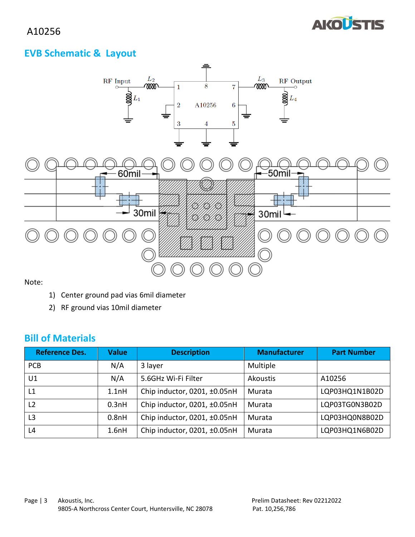

## **EVB Schematic & Layout**



Note:

- 1) Center ground pad vias 6mil diameter
- 2) RF ground vias 10mil diameter

#### **Bill of Materials**

| <b>Reference Des.</b> | <b>Value</b> | <b>Description</b>           | <b>Manufacturer</b> | <b>Part Number</b> |
|-----------------------|--------------|------------------------------|---------------------|--------------------|
| <b>PCB</b>            | N/A          | 3 layer                      | Multiple            |                    |
| U1                    | N/A          | 5.6GHz Wi-Fi Filter          | Akoustis            | A10256             |
| L1                    | 1.1nH        | Chip inductor, 0201, ±0.05nH | Murata              | LQP03HQ1N1B02D     |
| L <sub>2</sub>        | 0.3nH        | Chip inductor, 0201, ±0.05nH | Murata              | LQP03TG0N3B02D     |
| L3                    | 0.8nH        | Chip inductor, 0201, ±0.05nH | Murata              | LQP03HQ0N8B02D     |
| L4                    | 1.6nH        | Chip inductor, 0201, ±0.05nH | Murata              | LQP03HQ1N6B02D     |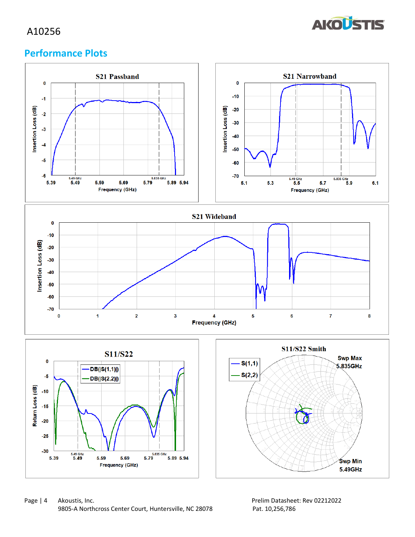

#### **Performance Plots**

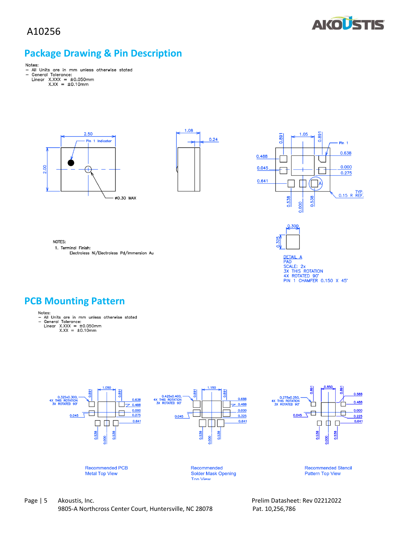



### **Package Drawing & Pin Description**

- Notes:<br>- All Units are in mm unless otherwise stated<br>- General Tolerance:<br>Linear X.XXX = ±0.050mm<br>X.XX = ±0.10mm
	- -







DETAIL A<br>PAD<br>SX THIS ROTATION<br>3X THIS ROTATION<br>4X ROTATED 90'<br>PIN 1 CHAMFER 0.150 X 45'

NOTES:

1. Terminal Finish: Electroless Ni/Electroless Pd/Immersion Au



- -
	-



Page | 5 Akoustis, Inc. 2022 2022 12:03:04 Prelim Datasheet: Rev 02212022 9805-A Northcross Center Court, Huntersville, NC 28078 Pat. 10,256,786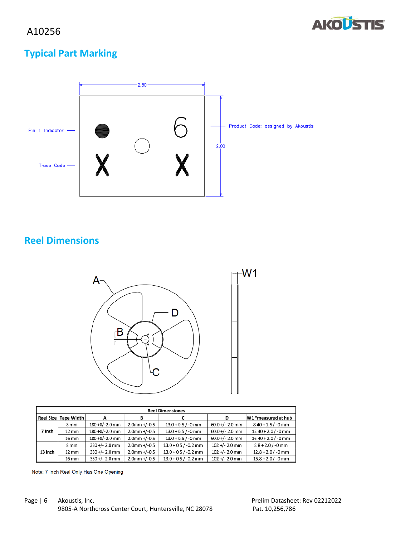

# **Typical Part Marking**



## **Reel Dimensions**



| <b>Reel Dimensiones</b> |                        |                  |                 |                        |                   |                       |
|-------------------------|------------------------|------------------|-----------------|------------------------|-------------------|-----------------------|
|                         | Reel Size   Tape Width | А                | в               | C                      | D                 | W1 *measured at hub   |
|                         | 8 <sub>mm</sub>        | 180 +0/-2.0 mm   | $2.0$ mm +/-0.5 | $13.0 + 0.5 / -0$ mm   | $60.0 +/- 2.0$ mm | $8.40 + 1.5 / -0$ mm  |
| 7 Inch                  | $12 \, \mathrm{mm}$    | 180 +0/-2.0 mm   | $2.0$ mm +/-0.5 | $13.0 + 0.5 / -0$ mm   | $60.0 +/- 2.0$ mm | $12.40 + 2.0 / -0$ mm |
|                         | 16 mm                  | 180 +0/-2.0 mm   | $2.0$ mm +/-0.5 | $13.0 + 0.5 / -0$ mm   | $60.0 +/- 2.0$ mm | $16.40 + 2.0 / -0$ mm |
|                         | 8 <sub>mm</sub>        | $330 +/- 2.0$ mm | $2.0$ mm +/-0.5 | $13.0 + 0.5 / -0.2$ mm | $102 +/- 2.0$ mm  | $8.8 + 2.0 / -0$ mm   |
| 13 Inch                 | 12 mm                  | $330+/- 2.0$ mm  | $2.0$ mm +/-0.5 | $13.0 + 0.5 / -0.2$ mm | $102 +/- 2.0$ mm  | $12.8 + 2.0 / -0$ mm  |
|                         | 16 mm                  | $330 +/- 2.0$ mm | $2.0$ mm +/-0.5 | $13.0 + 0.5 / -0.2$ mm | $102 +/- 2.0$ mm  | $16.8 + 2.0 / -0$ mm  |

Note: 7 Inch Reel Only Has One Opening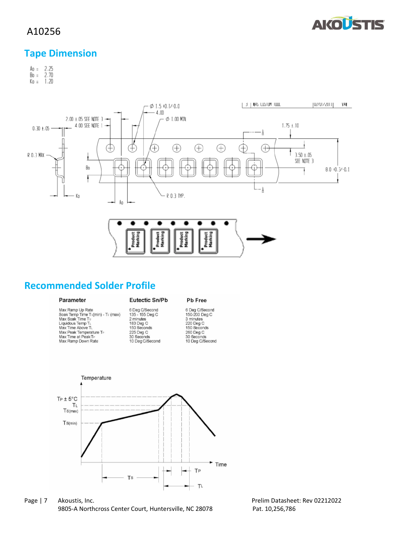

#### **Tape Dimension**

 $A_0 = 2.25$ <br>Bo = 2.70  $K_0 = 1.20$ 



#### **Recommended Solder Profile**

| Parameter |  |
|-----------|--|
|           |  |

Max Ramp Up Rate<br>Soak Temp Time Ts(min) - Ts (max)<br>Max Soak Time Ts<br>Liquidous Temp T<sub>L</sub><br>Max Time Above T<sub>L</sub><br>Max Time at Peak T<sub>P</sub><br>Max Ramp A Peak T<sub>P</sub><br>Max Ramp Down Rate

Eutectic Sn/Pb 6 Deg C/Second<br>135 - 155 Deg C<br>2 minutes<br>183 Deg C<br>150 Seconds

225 Deg C<br>30 Seconds<br>10 Deg C/Second

France C/Second<br>6 Deg C/Second<br>3 minutes<br>220 Deg C<br>260 Deg C<br>30 Seconds<br>30 Seconds<br>10 Deg C/Second

Pb Free



Page | 7 Akoustis, Inc. 2022 Contract the Contract of Prelim Datasheet: Rev 02212022 9805-A Northcross Center Court, Huntersville, NC 28078 Pat. 10,256,786